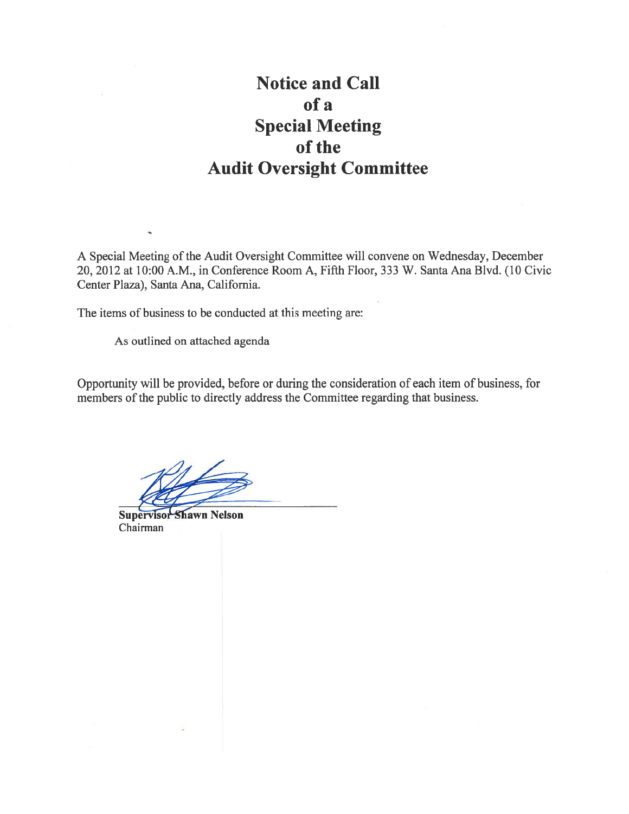## **Notice and Call** of a **Special Meeting** of the **Audit Oversight Committee**

A Special Meeting of the Audit Oversight Committee will convene on Wednesday, December 20, 2012 at 10:00 A.M., in Conference Room A, Fifth Floor, 333 W. Santa Ana Blvd. (10 Civic Center Plaza), Santa Ana, California.

The items of business to be conducted at this meeting are:

As outlined on attached agenda

Opportunity will be provided, before or during the consideration of each item of business, for members of the public to directly address the Committee regarding that business.

**Supervisor Shawn Nelson** Chairman